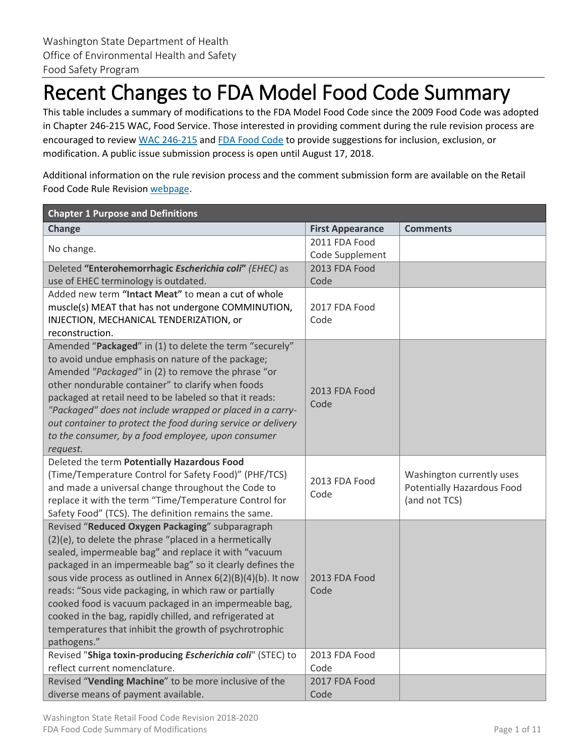## Recent Changes to FDA Model Food Code Summary

This table includes a summary of modifications to the FDA Model Food Code since the 2009 Food Code was adopted in Chapter 246-215 WAC, Food Service. Those interested in providing comment during the rule revision process are encouraged to review [WAC 246-215](https://www.doh.wa.gov/Portals/1/Documents/Pubs/332-033.pdf) and [FDA Food Code](https://www.fda.gov/Food/GuidanceRegulation/RetailFoodProtection/FoodCode/ucm595139.htm) to provide suggestions for inclusion, exclusion, or modification. A public issue submission process is open until August 17, 2018.

Additional information on the rule revision process and the comment submission form are available on the Retail Food Code Rule Revisio[n webpage.](https://www.doh.wa.gov/CommunityandEnvironment/Food/FoodWorkerandIndustry/FoodSafetyRules/FoodCodeRuleRevision)

| <b>Chapter 1 Purpose and Definitions</b>                                                                                  |                         |                                   |
|---------------------------------------------------------------------------------------------------------------------------|-------------------------|-----------------------------------|
| Change                                                                                                                    | <b>First Appearance</b> | <b>Comments</b>                   |
| No change.                                                                                                                | 2011 FDA Food           |                                   |
|                                                                                                                           | Code Supplement         |                                   |
| Deleted "Enterohemorrhagic Escherichia coli" (EHEC) as                                                                    | 2013 FDA Food           |                                   |
| use of EHEC terminology is outdated.                                                                                      | Code                    |                                   |
| Added new term "Intact Meat" to mean a cut of whole                                                                       |                         |                                   |
| muscle(s) MEAT that has not undergone COMMINUTION,                                                                        | 2017 FDA Food           |                                   |
| INJECTION, MECHANICAL TENDERIZATION, or                                                                                   | Code                    |                                   |
| reconstruction.                                                                                                           |                         |                                   |
| Amended "Packaged" in (1) to delete the term "securely"                                                                   |                         |                                   |
| to avoid undue emphasis on nature of the package;                                                                         |                         |                                   |
| Amended "Packaged" in (2) to remove the phrase "or                                                                        |                         |                                   |
| other nondurable container" to clarify when foods                                                                         | 2013 FDA Food           |                                   |
| packaged at retail need to be labeled so that it reads:                                                                   | Code                    |                                   |
| "Packaged" does not include wrapped or placed in a carry-                                                                 |                         |                                   |
| out container to protect the food during service or delivery                                                              |                         |                                   |
| to the consumer, by a food employee, upon consumer                                                                        |                         |                                   |
| request.                                                                                                                  |                         |                                   |
| Deleted the term Potentially Hazardous Food                                                                               |                         |                                   |
| (Time/Temperature Control for Safety Food)" (PHF/TCS)                                                                     | 2013 FDA Food           | Washington currently uses         |
| and made a universal change throughout the Code to                                                                        | Code                    | <b>Potentially Hazardous Food</b> |
| replace it with the term "Time/Temperature Control for                                                                    |                         | (and not TCS)                     |
| Safety Food" (TCS). The definition remains the same.                                                                      |                         |                                   |
| Revised "Reduced Oxygen Packaging" subparagraph                                                                           |                         |                                   |
| (2)(e), to delete the phrase "placed in a hermetically                                                                    |                         |                                   |
| sealed, impermeable bag" and replace it with "vacuum                                                                      |                         |                                   |
| packaged in an impermeable bag" so it clearly defines the<br>sous vide process as outlined in Annex 6(2)(B)(4)(b). It now | 2013 FDA Food           |                                   |
| reads: "Sous vide packaging, in which raw or partially                                                                    | Code                    |                                   |
| cooked food is vacuum packaged in an impermeable bag,                                                                     |                         |                                   |
| cooked in the bag, rapidly chilled, and refrigerated at                                                                   |                         |                                   |
| temperatures that inhibit the growth of psychrotrophic                                                                    |                         |                                   |
| pathogens."                                                                                                               |                         |                                   |
| Revised "Shiga toxin-producing Escherichia coli" (STEC) to                                                                | 2013 FDA Food           |                                   |
| reflect current nomenclature.                                                                                             | Code                    |                                   |
| Revised "Vending Machine" to be more inclusive of the                                                                     | 2017 FDA Food           |                                   |
| diverse means of payment available.                                                                                       | Code                    |                                   |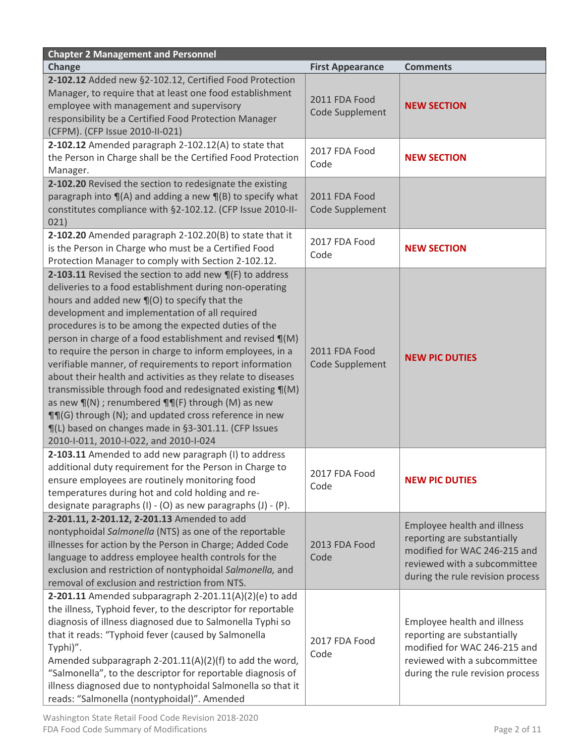| <b>Chapter 2 Management and Personnel</b>                                                                                                                                                                                                                                                                                                                                                                                                                                                                                                                                                                                                                                                                                                                                                                                          |                                  |                                                                                                                                                                |
|------------------------------------------------------------------------------------------------------------------------------------------------------------------------------------------------------------------------------------------------------------------------------------------------------------------------------------------------------------------------------------------------------------------------------------------------------------------------------------------------------------------------------------------------------------------------------------------------------------------------------------------------------------------------------------------------------------------------------------------------------------------------------------------------------------------------------------|----------------------------------|----------------------------------------------------------------------------------------------------------------------------------------------------------------|
| Change                                                                                                                                                                                                                                                                                                                                                                                                                                                                                                                                                                                                                                                                                                                                                                                                                             | <b>First Appearance</b>          | <b>Comments</b>                                                                                                                                                |
| 2-102.12 Added new §2-102.12, Certified Food Protection<br>Manager, to require that at least one food establishment<br>employee with management and supervisory<br>responsibility be a Certified Food Protection Manager<br>(CFPM). (CFP Issue 2010-II-021)                                                                                                                                                                                                                                                                                                                                                                                                                                                                                                                                                                        | 2011 FDA Food<br>Code Supplement | <b>NEW SECTION</b>                                                                                                                                             |
| 2-102.12 Amended paragraph 2-102.12(A) to state that<br>the Person in Charge shall be the Certified Food Protection<br>Manager.                                                                                                                                                                                                                                                                                                                                                                                                                                                                                                                                                                                                                                                                                                    | 2017 FDA Food<br>Code            | <b>NEW SECTION</b>                                                                                                                                             |
| 2-102.20 Revised the section to redesignate the existing<br>paragraph into $\P(A)$ and adding a new $\P(B)$ to specify what<br>constitutes compliance with §2-102.12. (CFP Issue 2010-II-<br>021)                                                                                                                                                                                                                                                                                                                                                                                                                                                                                                                                                                                                                                  | 2011 FDA Food<br>Code Supplement |                                                                                                                                                                |
| 2-102.20 Amended paragraph 2-102.20(B) to state that it<br>is the Person in Charge who must be a Certified Food<br>Protection Manager to comply with Section 2-102.12.                                                                                                                                                                                                                                                                                                                                                                                                                                                                                                                                                                                                                                                             | 2017 FDA Food<br>Code            | <b>NEW SECTION</b>                                                                                                                                             |
| 2-103.11 Revised the section to add new ¶(F) to address<br>deliveries to a food establishment during non-operating<br>hours and added new $\P(0)$ to specify that the<br>development and implementation of all required<br>procedures is to be among the expected duties of the<br>person in charge of a food establishment and revised ¶(M)<br>to require the person in charge to inform employees, in a<br>verifiable manner, of requirements to report information<br>about their health and activities as they relate to diseases<br>transmissible through food and redesignated existing ¶(M)<br>as new $\P(N)$ ; renumbered $\P\P(\mathsf{F})$ through (M) as new<br>¶¶(G) through (N); and updated cross reference in new<br>¶(L) based on changes made in §3-301.11. (CFP Issues<br>2010-I-011, 2010-I-022, and 2010-I-024 | 2011 FDA Food<br>Code Supplement | <b>NEW PIC DUTIES</b>                                                                                                                                          |
| 2-103.11 Amended to add new paragraph (I) to address<br>additional duty requirement for the Person in Charge to<br>ensure employees are routinely monitoring food<br>temperatures during hot and cold holding and re-<br>designate paragraphs (I) - (O) as new paragraphs (J) - (P).                                                                                                                                                                                                                                                                                                                                                                                                                                                                                                                                               | 2017 FDA Food<br>Code            | <b>NEW PIC DUTIES</b>                                                                                                                                          |
| 2-201.11, 2-201.12, 2-201.13 Amended to add<br>nontyphoidal Salmonella (NTS) as one of the reportable<br>illnesses for action by the Person in Charge; Added Code<br>language to address employee health controls for the<br>exclusion and restriction of nontyphoidal Salmonella, and<br>removal of exclusion and restriction from NTS.                                                                                                                                                                                                                                                                                                                                                                                                                                                                                           | 2013 FDA Food<br>Code            | Employee health and illness<br>reporting are substantially<br>modified for WAC 246-215 and<br>reviewed with a subcommittee<br>during the rule revision process |
| 2-201.11 Amended subparagraph 2-201.11(A)(2)(e) to add<br>the illness, Typhoid fever, to the descriptor for reportable<br>diagnosis of illness diagnosed due to Salmonella Typhi so<br>that it reads: "Typhoid fever (caused by Salmonella<br>Typhi)".<br>Amended subparagraph 2-201.11(A)(2)(f) to add the word,<br>"Salmonella", to the descriptor for reportable diagnosis of<br>illness diagnosed due to nontyphoidal Salmonella so that it<br>reads: "Salmonella (nontyphoidal)". Amended                                                                                                                                                                                                                                                                                                                                     | 2017 FDA Food<br>Code            | Employee health and illness<br>reporting are substantially<br>modified for WAC 246-215 and<br>reviewed with a subcommittee<br>during the rule revision process |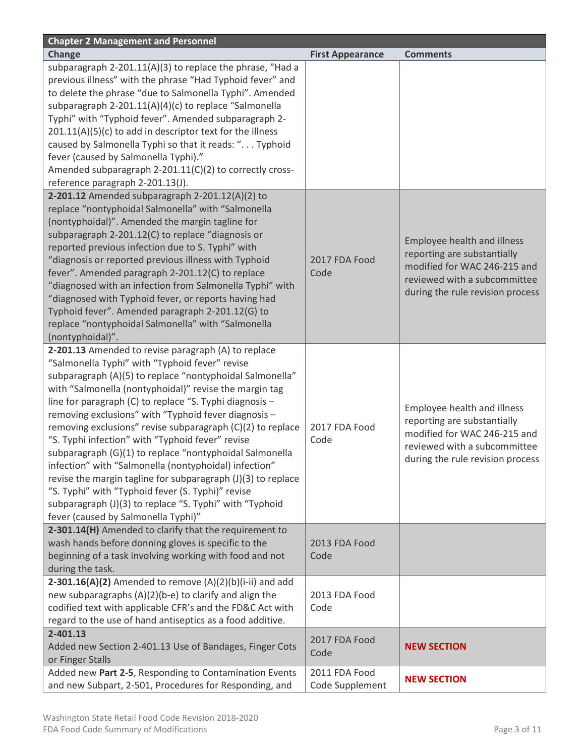| <b>Chapter 2 Management and Personnel</b>                                                                                                                                                                                                                                                                                                                                                                                                                                                                                                                                                                                                                                                                                                                                                                   |                                  |                                                                                                                                                                |
|-------------------------------------------------------------------------------------------------------------------------------------------------------------------------------------------------------------------------------------------------------------------------------------------------------------------------------------------------------------------------------------------------------------------------------------------------------------------------------------------------------------------------------------------------------------------------------------------------------------------------------------------------------------------------------------------------------------------------------------------------------------------------------------------------------------|----------------------------------|----------------------------------------------------------------------------------------------------------------------------------------------------------------|
| <b>Change</b>                                                                                                                                                                                                                                                                                                                                                                                                                                                                                                                                                                                                                                                                                                                                                                                               | <b>First Appearance</b>          | <b>Comments</b>                                                                                                                                                |
| subparagraph 2-201.11(A)(3) to replace the phrase, "Had a<br>previous illness" with the phrase "Had Typhoid fever" and<br>to delete the phrase "due to Salmonella Typhi". Amended<br>subparagraph 2-201.11(A)(4)(c) to replace "Salmonella<br>Typhi" with "Typhoid fever". Amended subparagraph 2-<br>201.11(A)(5)(c) to add in descriptor text for the illness<br>caused by Salmonella Typhi so that it reads: " Typhoid<br>fever (caused by Salmonella Typhi)."<br>Amended subparagraph 2-201.11(C)(2) to correctly cross-                                                                                                                                                                                                                                                                                |                                  |                                                                                                                                                                |
| reference paragraph 2-201.13(J).<br>2-201.12 Amended subparagraph 2-201.12(A)(2) to<br>replace "nontyphoidal Salmonella" with "Salmonella<br>(nontyphoidal)". Amended the margin tagline for<br>subparagraph 2-201.12(C) to replace "diagnosis or<br>reported previous infection due to S. Typhi" with<br>"diagnosis or reported previous illness with Typhoid<br>fever". Amended paragraph 2-201.12(C) to replace<br>"diagnosed with an infection from Salmonella Typhi" with<br>"diagnosed with Typhoid fever, or reports having had<br>Typhoid fever". Amended paragraph 2-201.12(G) to<br>replace "nontyphoidal Salmonella" with "Salmonella<br>(nontyphoidal)".                                                                                                                                        | 2017 FDA Food<br>Code            | Employee health and illness<br>reporting are substantially<br>modified for WAC 246-215 and<br>reviewed with a subcommittee<br>during the rule revision process |
| 2-201.13 Amended to revise paragraph (A) to replace<br>"Salmonella Typhi" with "Typhoid fever" revise<br>subparagraph (A)(5) to replace "nontyphoidal Salmonella"<br>with "Salmonella (nontyphoidal)" revise the margin tag<br>line for paragraph (C) to replace "S. Typhi diagnosis -<br>removing exclusions" with "Typhoid fever diagnosis -<br>removing exclusions" revise subparagraph (C)(2) to replace<br>"S. Typhi infection" with "Typhoid fever" revise<br>subparagraph (G)(1) to replace "nontyphoidal Salmonella<br>infection" with "Salmonella (nontyphoidal) infection"<br>revise the margin tagline for subparagraph (J)(3) to replace<br>"S. Typhi" with "Typhoid fever (S. Typhi)" revise<br>subparagraph (J)(3) to replace "S. Typhi" with "Typhoid<br>fever (caused by Salmonella Typhi)" | 2017 FDA Food<br>Code            | Employee health and illness<br>reporting are substantially<br>modified for WAC 246-215 and<br>reviewed with a subcommittee<br>during the rule revision process |
| 2-301.14(H) Amended to clarify that the requirement to<br>wash hands before donning gloves is specific to the<br>beginning of a task involving working with food and not<br>during the task.                                                                                                                                                                                                                                                                                                                                                                                                                                                                                                                                                                                                                | 2013 FDA Food<br>Code            |                                                                                                                                                                |
| 2-301.16(A)(2) Amended to remove $(A)(2)(b)(i-ii)$ and add<br>new subparagraphs (A)(2)(b-e) to clarify and align the<br>codified text with applicable CFR's and the FD&C Act with<br>regard to the use of hand antiseptics as a food additive.                                                                                                                                                                                                                                                                                                                                                                                                                                                                                                                                                              | 2013 FDA Food<br>Code            |                                                                                                                                                                |
| 2-401.13<br>Added new Section 2-401.13 Use of Bandages, Finger Cots<br>or Finger Stalls                                                                                                                                                                                                                                                                                                                                                                                                                                                                                                                                                                                                                                                                                                                     | 2017 FDA Food<br>Code            | <b>NEW SECTION</b>                                                                                                                                             |
| Added new Part 2-5, Responding to Contamination Events<br>and new Subpart, 2-501, Procedures for Responding, and                                                                                                                                                                                                                                                                                                                                                                                                                                                                                                                                                                                                                                                                                            | 2011 FDA Food<br>Code Supplement | <b>NEW SECTION</b>                                                                                                                                             |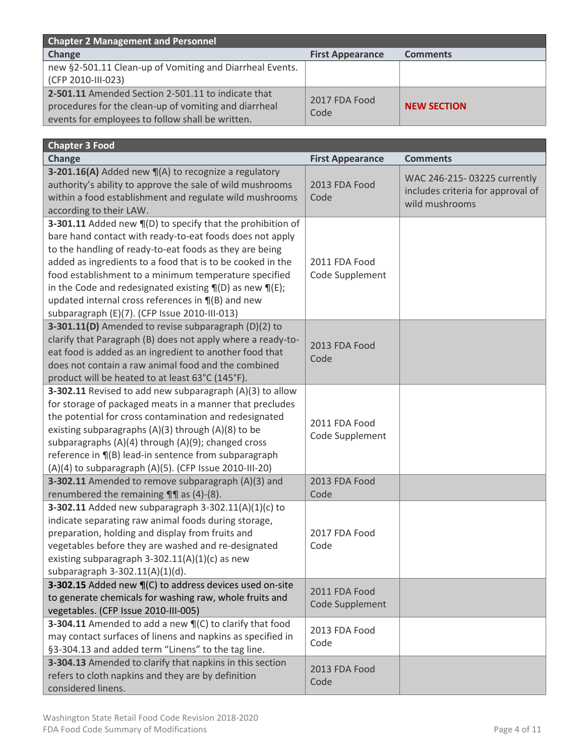| <b>Chapter 2 Management and Personnel</b>                |                         |                    |
|----------------------------------------------------------|-------------------------|--------------------|
| <b>Change</b>                                            | <b>First Appearance</b> | <b>Comments</b>    |
| new §2-501.11 Clean-up of Vomiting and Diarrheal Events. |                         |                    |
| (CFP 2010-III-023)                                       |                         |                    |
| 2-501.11 Amended Section 2-501.11 to indicate that       | 2017 FDA Food           |                    |
| procedures for the clean-up of vomiting and diarrheal    | Code                    | <b>NEW SECTION</b> |
| events for employees to follow shall be written.         |                         |                    |

| <b>Chapter 3 Food</b>                                                                                                                                                                                                                                                                                                                                                                                                                                                                        |                                  |                                                                                    |
|----------------------------------------------------------------------------------------------------------------------------------------------------------------------------------------------------------------------------------------------------------------------------------------------------------------------------------------------------------------------------------------------------------------------------------------------------------------------------------------------|----------------------------------|------------------------------------------------------------------------------------|
| <b>Change</b>                                                                                                                                                                                                                                                                                                                                                                                                                                                                                | <b>First Appearance</b>          | <b>Comments</b>                                                                    |
| 3-201.16(A) Added new $\P(A)$ to recognize a regulatory<br>authority's ability to approve the sale of wild mushrooms<br>within a food establishment and regulate wild mushrooms<br>according to their LAW.                                                                                                                                                                                                                                                                                   | 2013 FDA Food<br>Code            | WAC 246-215-03225 currently<br>includes criteria for approval of<br>wild mushrooms |
| 3-301.11 Added new ¶(D) to specify that the prohibition of<br>bare hand contact with ready-to-eat foods does not apply<br>to the handling of ready-to-eat foods as they are being<br>added as ingredients to a food that is to be cooked in the<br>food establishment to a minimum temperature specified<br>in the Code and redesignated existing $\P(D)$ as new $\P(E)$ ;<br>updated internal cross references in $\P(\mathsf{B})$ and new<br>subparagraph (E)(7). (CFP Issue 2010-III-013) | 2011 FDA Food<br>Code Supplement |                                                                                    |
| 3-301.11(D) Amended to revise subparagraph (D)(2) to<br>clarify that Paragraph (B) does not apply where a ready-to-<br>eat food is added as an ingredient to another food that<br>does not contain a raw animal food and the combined<br>product will be heated to at least 63°C (145°F).                                                                                                                                                                                                    | 2013 FDA Food<br>Code            |                                                                                    |
| 3-302.11 Revised to add new subparagraph (A)(3) to allow<br>for storage of packaged meats in a manner that precludes<br>the potential for cross contamination and redesignated<br>existing subparagraphs (A)(3) through (A)(8) to be<br>subparagraphs (A)(4) through (A)(9); changed cross<br>reference in $\P(B)$ lead-in sentence from subparagraph<br>(A)(4) to subparagraph (A)(5). (CFP Issue 2010-III-20)                                                                              | 2011 FDA Food<br>Code Supplement |                                                                                    |
| 3-302.11 Amended to remove subparagraph (A)(3) and<br>renumbered the remaining $\P\P$ as (4)-(8).                                                                                                                                                                                                                                                                                                                                                                                            | 2013 FDA Food<br>Code            |                                                                                    |
| 3-302.11 Added new subparagraph 3-302.11(A)(1)(c) to<br>indicate separating raw animal foods during storage,<br>preparation, holding and display from fruits and<br>vegetables before they are washed and re-designated<br>existing subparagraph $3-302.11(A)(1)(c)$ as new<br>subparagraph 3-302.11(A)(1)(d).                                                                                                                                                                               | 2017 FDA Food<br>Code            |                                                                                    |
| 3-302.15 Added new ¶(C) to address devices used on-site<br>to generate chemicals for washing raw, whole fruits and<br>vegetables. (CFP Issue 2010-III-005)                                                                                                                                                                                                                                                                                                                                   | 2011 FDA Food<br>Code Supplement |                                                                                    |
| 3-304.11 Amended to add a new ¶(C) to clarify that food<br>may contact surfaces of linens and napkins as specified in<br>§3-304.13 and added term "Linens" to the tag line.                                                                                                                                                                                                                                                                                                                  | 2013 FDA Food<br>Code            |                                                                                    |
| 3-304.13 Amended to clarify that napkins in this section<br>refers to cloth napkins and they are by definition<br>considered linens.                                                                                                                                                                                                                                                                                                                                                         | 2013 FDA Food<br>Code            |                                                                                    |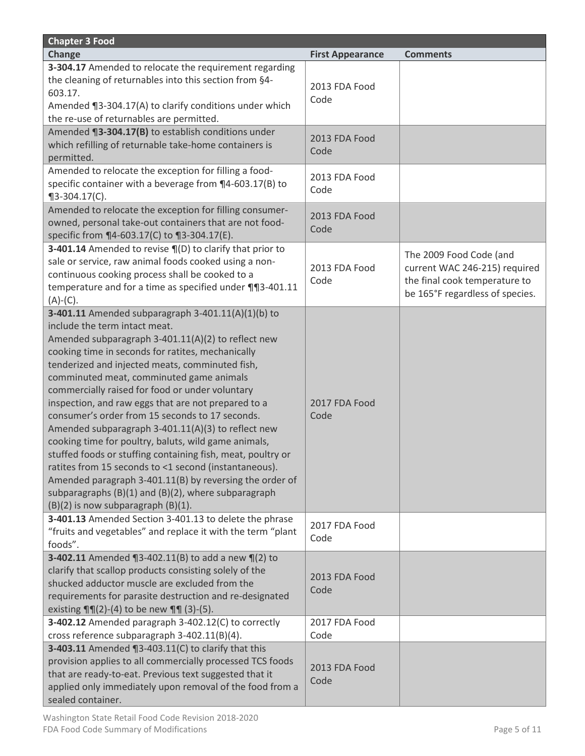| <b>Chapter 3 Food</b>                                                                                                                                                                                                                                                                                                                                                                                                                                                                                                                                                                                                                                                                                                                                                                                                                                         |                         |                                                                                                                              |
|---------------------------------------------------------------------------------------------------------------------------------------------------------------------------------------------------------------------------------------------------------------------------------------------------------------------------------------------------------------------------------------------------------------------------------------------------------------------------------------------------------------------------------------------------------------------------------------------------------------------------------------------------------------------------------------------------------------------------------------------------------------------------------------------------------------------------------------------------------------|-------------------------|------------------------------------------------------------------------------------------------------------------------------|
| Change                                                                                                                                                                                                                                                                                                                                                                                                                                                                                                                                                                                                                                                                                                                                                                                                                                                        | <b>First Appearance</b> | <b>Comments</b>                                                                                                              |
| 3-304.17 Amended to relocate the requirement regarding<br>the cleaning of returnables into this section from §4-<br>603.17.<br>Amended ¶3-304.17(A) to clarify conditions under which<br>the re-use of returnables are permitted.                                                                                                                                                                                                                                                                                                                                                                                                                                                                                                                                                                                                                             | 2013 FDA Food<br>Code   |                                                                                                                              |
| Amended 13-304.17(B) to establish conditions under<br>which refilling of returnable take-home containers is<br>permitted.                                                                                                                                                                                                                                                                                                                                                                                                                                                                                                                                                                                                                                                                                                                                     | 2013 FDA Food<br>Code   |                                                                                                                              |
| Amended to relocate the exception for filling a food-<br>specific container with a beverage from ¶4-603.17(B) to<br>$\P$ 3-304.17(C).                                                                                                                                                                                                                                                                                                                                                                                                                                                                                                                                                                                                                                                                                                                         | 2013 FDA Food<br>Code   |                                                                                                                              |
| Amended to relocate the exception for filling consumer-<br>owned, personal take-out containers that are not food-<br>specific from $\P$ 4-603.17(C) to $\P$ 3-304.17(E).                                                                                                                                                                                                                                                                                                                                                                                                                                                                                                                                                                                                                                                                                      | 2013 FDA Food<br>Code   |                                                                                                                              |
| 3-401.14 Amended to revise $\P(D)$ to clarify that prior to<br>sale or service, raw animal foods cooked using a non-<br>continuous cooking process shall be cooked to a<br>temperature and for a time as specified under ¶¶3-401.11<br>$(A)-(C).$                                                                                                                                                                                                                                                                                                                                                                                                                                                                                                                                                                                                             | 2013 FDA Food<br>Code   | The 2009 Food Code (and<br>current WAC 246-215) required<br>the final cook temperature to<br>be 165°F regardless of species. |
| 3-401.11 Amended subparagraph 3-401.11(A)(1)(b) to<br>include the term intact meat.<br>Amended subparagraph 3-401.11(A)(2) to reflect new<br>cooking time in seconds for ratites, mechanically<br>tenderized and injected meats, comminuted fish,<br>comminuted meat, comminuted game animals<br>commercially raised for food or under voluntary<br>inspection, and raw eggs that are not prepared to a<br>consumer's order from 15 seconds to 17 seconds.<br>Amended subparagraph 3-401.11(A)(3) to reflect new<br>cooking time for poultry, baluts, wild game animals,<br>stuffed foods or stuffing containing fish, meat, poultry or<br>ratites from 15 seconds to <1 second (instantaneous).<br>Amended paragraph 3-401.11(B) by reversing the order of<br>subparagraphs (B)(1) and (B)(2), where subparagraph<br>$(B)(2)$ is now subparagraph $(B)(1)$ . | 2017 FDA Food<br>Code   |                                                                                                                              |
| 3-401.13 Amended Section 3-401.13 to delete the phrase<br>"fruits and vegetables" and replace it with the term "plant<br>foods".                                                                                                                                                                                                                                                                                                                                                                                                                                                                                                                                                                                                                                                                                                                              | 2017 FDA Food<br>Code   |                                                                                                                              |
| <b>3-402.11</b> Amended $\P$ 3-402.11(B) to add a new $\P$ (2) to<br>clarify that scallop products consisting solely of the<br>shucked adductor muscle are excluded from the<br>requirements for parasite destruction and re-designated<br>existing $\P\P(2)-(4)$ to be new $\P\P(3)-(5)$ .                                                                                                                                                                                                                                                                                                                                                                                                                                                                                                                                                                   | 2013 FDA Food<br>Code   |                                                                                                                              |
| 3-402.12 Amended paragraph 3-402.12(C) to correctly<br>cross reference subparagraph 3-402.11(B)(4).                                                                                                                                                                                                                                                                                                                                                                                                                                                                                                                                                                                                                                                                                                                                                           | 2017 FDA Food<br>Code   |                                                                                                                              |
| 3-403.11 Amended ¶3-403.11(C) to clarify that this<br>provision applies to all commercially processed TCS foods<br>that are ready-to-eat. Previous text suggested that it<br>applied only immediately upon removal of the food from a<br>sealed container.                                                                                                                                                                                                                                                                                                                                                                                                                                                                                                                                                                                                    | 2013 FDA Food<br>Code   |                                                                                                                              |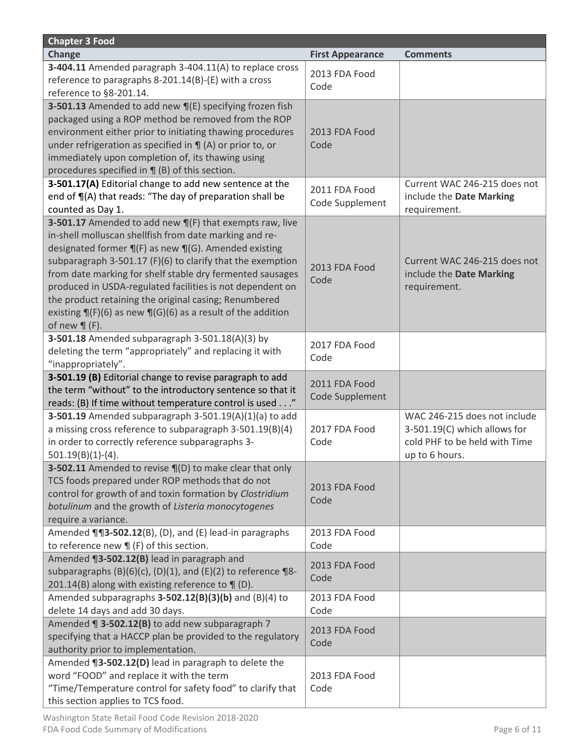| <b>Chapter 3 Food</b>                                                                                                 |                         |                               |
|-----------------------------------------------------------------------------------------------------------------------|-------------------------|-------------------------------|
| <b>Change</b>                                                                                                         | <b>First Appearance</b> | <b>Comments</b>               |
| 3-404.11 Amended paragraph 3-404.11(A) to replace cross                                                               | 2013 FDA Food           |                               |
| reference to paragraphs 8-201.14(B)-(E) with a cross                                                                  | Code                    |                               |
| reference to §8-201.14.                                                                                               |                         |                               |
| 3-501.13 Amended to add new $\P(E)$ specifying frozen fish                                                            |                         |                               |
| packaged using a ROP method be removed from the ROP                                                                   |                         |                               |
| environment either prior to initiating thawing procedures                                                             | 2013 FDA Food           |                               |
| under refrigeration as specified in $\P$ (A) or prior to, or                                                          | Code                    |                               |
| immediately upon completion of, its thawing using                                                                     |                         |                               |
| procedures specified in $\P$ (B) of this section.                                                                     |                         |                               |
| 3-501.17(A) Editorial change to add new sentence at the                                                               | 2011 FDA Food           | Current WAC 246-215 does not  |
| end of $\P(A)$ that reads: "The day of preparation shall be                                                           | Code Supplement         | include the Date Marking      |
| counted as Day 1.                                                                                                     |                         | requirement.                  |
| 3-501.17 Amended to add new $\P(F)$ that exempts raw, live                                                            |                         |                               |
| in-shell molluscan shellfish from date marking and re-                                                                |                         |                               |
| designated former $\P(f)$ as new $\P(G)$ . Amended existing                                                           |                         |                               |
| subparagraph 3-501.17 (F)(6) to clarify that the exemption                                                            | 2013 FDA Food           | Current WAC 246-215 does not  |
| from date marking for shelf stable dry fermented sausages                                                             | Code                    | include the Date Marking      |
| produced in USDA-regulated facilities is not dependent on                                                             |                         | requirement.                  |
| the product retaining the original casing; Renumbered                                                                 |                         |                               |
| existing $\P(F)(6)$ as new $\P(G)(6)$ as a result of the addition                                                     |                         |                               |
| of new $\P$ (F).                                                                                                      |                         |                               |
| 3-501.18 Amended subparagraph 3-501.18(A)(3) by                                                                       | 2017 FDA Food           |                               |
| deleting the term "appropriately" and replacing it with                                                               | Code                    |                               |
| "inappropriately".                                                                                                    |                         |                               |
| 3-501.19 (B) Editorial change to revise paragraph to add                                                              | 2011 FDA Food           |                               |
| the term "without" to the introductory sentence so that it<br>reads: (B) If time without temperature control is used" | Code Supplement         |                               |
| 3-501.19 Amended subparagraph 3-501.19(A)(1)(a) to add                                                                |                         | WAC 246-215 does not include  |
| a missing cross reference to subparagraph 3-501.19(B)(4)                                                              | 2017 FDA Food           | 3-501.19(C) which allows for  |
| in order to correctly reference subparagraphs 3-                                                                      | Code                    | cold PHF to be held with Time |
| $501.19(B)(1)-(4).$                                                                                                   |                         | up to 6 hours.                |
| 3-502.11 Amended to revise ¶(D) to make clear that only                                                               |                         |                               |
| TCS foods prepared under ROP methods that do not                                                                      |                         |                               |
| control for growth of and toxin formation by Clostridium                                                              | 2013 FDA Food           |                               |
| botulinum and the growth of Listeria monocytogenes                                                                    | Code                    |                               |
| require a variance.                                                                                                   |                         |                               |
| Amended ¶13-502.12(B), (D), and (E) lead-in paragraphs                                                                | 2013 FDA Food           |                               |
| to reference new $\P$ (F) of this section.                                                                            | Code                    |                               |
| Amended 13-502.12(B) lead in paragraph and                                                                            |                         |                               |
| subparagraphs $(B)(6)(c)$ , $(D)(1)$ , and $(E)(2)$ to reference $\P8$ -                                              | 2013 FDA Food           |                               |
| 201.14(B) along with existing reference to $\P$ (D).                                                                  | Code                    |                               |
| Amended subparagraphs $3-502.12(B)(3)(b)$ and (B)(4) to                                                               | 2013 FDA Food           |                               |
| delete 14 days and add 30 days.                                                                                       | Code                    |                               |
| Amended ¶ 3-502.12(B) to add new subparagraph 7                                                                       | 2013 FDA Food           |                               |
| specifying that a HACCP plan be provided to the regulatory                                                            | Code                    |                               |
| authority prior to implementation.                                                                                    |                         |                               |
| Amended 13-502.12(D) lead in paragraph to delete the                                                                  |                         |                               |
| word "FOOD" and replace it with the term                                                                              | 2013 FDA Food           |                               |
| "Time/Temperature control for safety food" to clarify that                                                            | Code                    |                               |
| this section applies to TCS food.                                                                                     |                         |                               |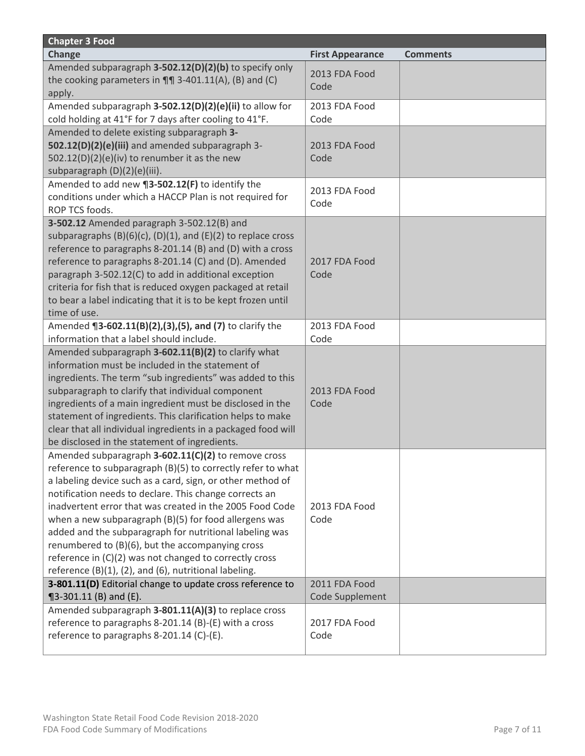| <b>Chapter 3 Food</b>                                                                                          |                         |                 |
|----------------------------------------------------------------------------------------------------------------|-------------------------|-----------------|
| <b>Change</b>                                                                                                  | <b>First Appearance</b> | <b>Comments</b> |
| Amended subparagraph 3-502.12(D)(2)(b) to specify only                                                         | 2013 FDA Food           |                 |
| the cooking parameters in $\P\P$ 3-401.11(A), (B) and (C)                                                      | Code                    |                 |
| apply.                                                                                                         |                         |                 |
| Amended subparagraph 3-502.12(D)(2)(e)(ii) to allow for                                                        | 2013 FDA Food           |                 |
| cold holding at 41°F for 7 days after cooling to 41°F.                                                         | Code                    |                 |
| Amended to delete existing subparagraph 3-                                                                     |                         |                 |
| 502.12(D)(2)(e)(iii) and amended subparagraph 3-<br>$502.12(D)(2)(e)(iv)$ to renumber it as the new            | 2013 FDA Food<br>Code   |                 |
| subparagraph (D)(2)(e)(iii).                                                                                   |                         |                 |
| Amended to add new 13-502.12(F) to identify the                                                                |                         |                 |
| conditions under which a HACCP Plan is not required for                                                        | 2013 FDA Food           |                 |
| ROP TCS foods.                                                                                                 | Code                    |                 |
| 3-502.12 Amended paragraph 3-502.12(B) and                                                                     |                         |                 |
| subparagraphs $(B)(6)(c)$ , $(D)(1)$ , and $(E)(2)$ to replace cross                                           |                         |                 |
| reference to paragraphs 8-201.14 (B) and (D) with a cross                                                      |                         |                 |
| reference to paragraphs 8-201.14 (C) and (D). Amended                                                          | 2017 FDA Food           |                 |
| paragraph 3-502.12(C) to add in additional exception                                                           | Code                    |                 |
| criteria for fish that is reduced oxygen packaged at retail                                                    |                         |                 |
| to bear a label indicating that it is to be kept frozen until                                                  |                         |                 |
| time of use.                                                                                                   |                         |                 |
| Amended ¶3-602.11(B)(2),(3),(5), and (7) to clarify the                                                        | 2013 FDA Food           |                 |
| information that a label should include.                                                                       | Code                    |                 |
| Amended subparagraph 3-602.11(B)(2) to clarify what                                                            |                         |                 |
| information must be included in the statement of                                                               |                         |                 |
| ingredients. The term "sub ingredients" was added to this<br>subparagraph to clarify that individual component | 2013 FDA Food           |                 |
| ingredients of a main ingredient must be disclosed in the                                                      | Code                    |                 |
| statement of ingredients. This clarification helps to make                                                     |                         |                 |
| clear that all individual ingredients in a packaged food will                                                  |                         |                 |
| be disclosed in the statement of ingredients.                                                                  |                         |                 |
| Amended subparagraph 3-602.11(C)(2) to remove cross                                                            |                         |                 |
| reference to subparagraph (B)(5) to correctly refer to what                                                    |                         |                 |
| a labeling device such as a card, sign, or other method of                                                     |                         |                 |
| notification needs to declare. This change corrects an                                                         |                         |                 |
| inadvertent error that was created in the 2005 Food Code                                                       | 2013 FDA Food           |                 |
| when a new subparagraph (B)(5) for food allergens was                                                          | Code                    |                 |
| added and the subparagraph for nutritional labeling was                                                        |                         |                 |
| renumbered to (B)(6), but the accompanying cross                                                               |                         |                 |
| reference in (C)(2) was not changed to correctly cross                                                         |                         |                 |
| reference (B)(1), (2), and (6), nutritional labeling.                                                          | 2011 FDA Food           |                 |
| 3-801.11(D) Editorial change to update cross reference to<br>$\P$ 3-301.11 (B) and (E).                        | Code Supplement         |                 |
| Amended subparagraph 3-801.11(A)(3) to replace cross                                                           |                         |                 |
| reference to paragraphs 8-201.14 (B)-(E) with a cross                                                          | 2017 FDA Food           |                 |
| reference to paragraphs 8-201.14 (C)-(E).                                                                      | Code                    |                 |
|                                                                                                                |                         |                 |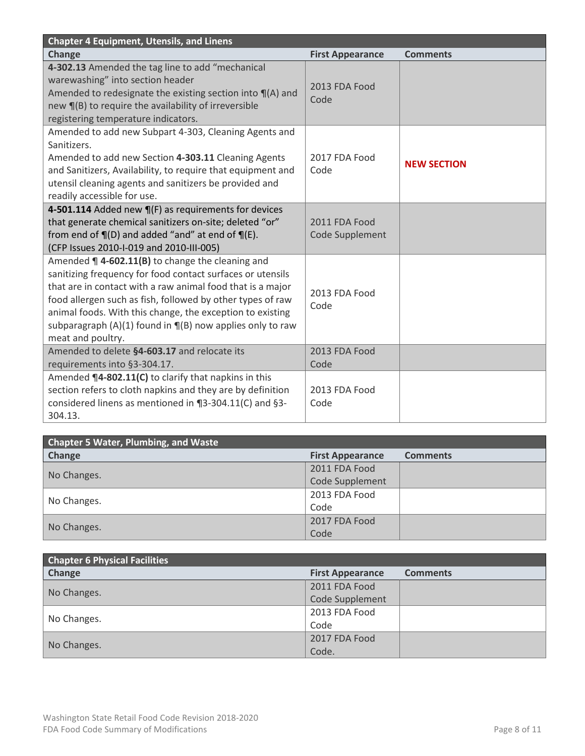| <b>Chapter 4 Equipment, Utensils, and Linens</b>                                                                                                                                                                                                                                                                                                                                               |                                  |                    |  |
|------------------------------------------------------------------------------------------------------------------------------------------------------------------------------------------------------------------------------------------------------------------------------------------------------------------------------------------------------------------------------------------------|----------------------------------|--------------------|--|
| <b>Change</b>                                                                                                                                                                                                                                                                                                                                                                                  | <b>First Appearance</b>          | <b>Comments</b>    |  |
| 4-302.13 Amended the tag line to add "mechanical<br>warewashing" into section header<br>Amended to redesignate the existing section into $\P(A)$ and<br>new ¶(B) to require the availability of irreversible<br>registering temperature indicators.                                                                                                                                            | 2013 FDA Food<br>Code            |                    |  |
| Amended to add new Subpart 4-303, Cleaning Agents and<br>Sanitizers.<br>Amended to add new Section 4-303.11 Cleaning Agents<br>and Sanitizers, Availability, to require that equipment and<br>utensil cleaning agents and sanitizers be provided and<br>readily accessible for use.                                                                                                            | 2017 FDA Food<br>Code            | <b>NEW SECTION</b> |  |
| 4-501.114 Added new $\P(F)$ as requirements for devices<br>that generate chemical sanitizers on-site; deleted "or"<br>from end of $\P(D)$ and added "and" at end of $\P(E)$ .<br>(CFP Issues 2010-I-019 and 2010-III-005)                                                                                                                                                                      | 2011 FDA Food<br>Code Supplement |                    |  |
| Amended ¶ 4-602.11(B) to change the cleaning and<br>sanitizing frequency for food contact surfaces or utensils<br>that are in contact with a raw animal food that is a major<br>food allergen such as fish, followed by other types of raw<br>animal foods. With this change, the exception to existing<br>subparagraph $(A)(1)$ found in $\P(B)$ now applies only to raw<br>meat and poultry. | 2013 FDA Food<br>Code            |                    |  |
| Amended to delete §4-603.17 and relocate its<br>requirements into §3-304.17.                                                                                                                                                                                                                                                                                                                   | 2013 FDA Food<br>Code            |                    |  |
| Amended ¶4-802.11(C) to clarify that napkins in this<br>section refers to cloth napkins and they are by definition<br>considered linens as mentioned in ¶3-304.11(C) and §3-<br>304.13.                                                                                                                                                                                                        | 2013 FDA Food<br>Code            |                    |  |

| <b>Chapter 5 Water, Plumbing, and Waste</b> |                         |                 |
|---------------------------------------------|-------------------------|-----------------|
| Change                                      | <b>First Appearance</b> | <b>Comments</b> |
|                                             | 2011 FDA Food           |                 |
| No Changes.                                 | Code Supplement         |                 |
| No Changes.                                 | 2013 FDA Food           |                 |
|                                             | Code                    |                 |
| No Changes.                                 | 2017 FDA Food           |                 |
|                                             | Code                    |                 |

| <b>Chapter 6 Physical Facilities</b> |                         |                 |
|--------------------------------------|-------------------------|-----------------|
| Change                               | <b>First Appearance</b> | <b>Comments</b> |
|                                      | 2011 FDA Food           |                 |
| No Changes.                          | Code Supplement         |                 |
| No Changes.                          | 2013 FDA Food           |                 |
|                                      | Code                    |                 |
| No Changes.                          | 2017 FDA Food           |                 |
|                                      | Code.                   |                 |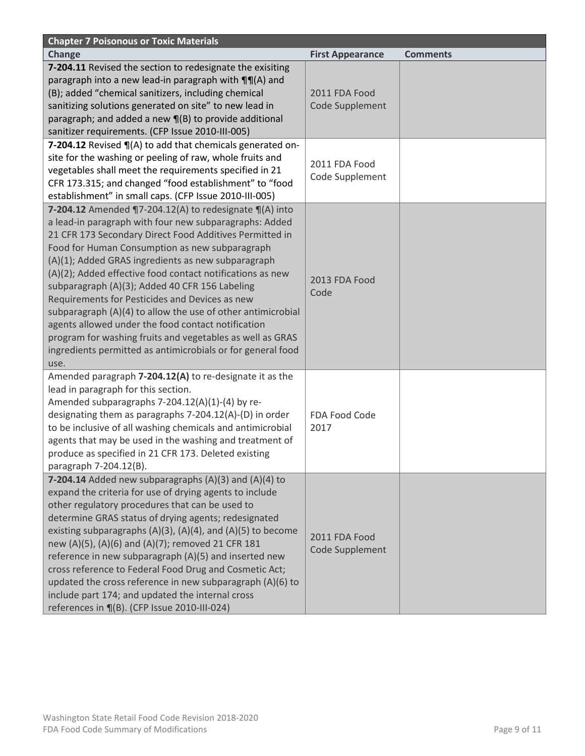| <b>Chapter 7 Poisonous or Toxic Materials</b>                                                                                                                                                                                                                                                                                                                                                                                                                                                                                                                                                                                                                                                                 |                                  |                 |
|---------------------------------------------------------------------------------------------------------------------------------------------------------------------------------------------------------------------------------------------------------------------------------------------------------------------------------------------------------------------------------------------------------------------------------------------------------------------------------------------------------------------------------------------------------------------------------------------------------------------------------------------------------------------------------------------------------------|----------------------------------|-----------------|
| <b>Change</b>                                                                                                                                                                                                                                                                                                                                                                                                                                                                                                                                                                                                                                                                                                 | <b>First Appearance</b>          | <b>Comments</b> |
| 7-204.11 Revised the section to redesignate the exisiting<br>paragraph into a new lead-in paragraph with ¶¶(A) and<br>(B); added "chemical sanitizers, including chemical<br>sanitizing solutions generated on site" to new lead in<br>paragraph; and added a new $\P(\mathsf{B})$ to provide additional<br>sanitizer requirements. (CFP Issue 2010-III-005)                                                                                                                                                                                                                                                                                                                                                  | 2011 FDA Food<br>Code Supplement |                 |
| 7-204.12 Revised ¶(A) to add that chemicals generated on-<br>site for the washing or peeling of raw, whole fruits and<br>vegetables shall meet the requirements specified in 21<br>CFR 173.315; and changed "food establishment" to "food<br>establishment" in small caps. (CFP Issue 2010-III-005)                                                                                                                                                                                                                                                                                                                                                                                                           | 2011 FDA Food<br>Code Supplement |                 |
| 7-204.12 Amended ¶7-204.12(A) to redesignate ¶(A) into<br>a lead-in paragraph with four new subparagraphs: Added<br>21 CFR 173 Secondary Direct Food Additives Permitted in<br>Food for Human Consumption as new subparagraph<br>(A)(1); Added GRAS ingredients as new subparagraph<br>(A)(2); Added effective food contact notifications as new<br>subparagraph (A)(3); Added 40 CFR 156 Labeling<br>Requirements for Pesticides and Devices as new<br>subparagraph (A)(4) to allow the use of other antimicrobial<br>agents allowed under the food contact notification<br>program for washing fruits and vegetables as well as GRAS<br>ingredients permitted as antimicrobials or for general food<br>use. | 2013 FDA Food<br>Code            |                 |
| Amended paragraph 7-204.12(A) to re-designate it as the<br>lead in paragraph for this section.<br>Amended subparagraphs 7-204.12(A)(1)-(4) by re-<br>designating them as paragraphs 7-204.12(A)-(D) in order<br>to be inclusive of all washing chemicals and antimicrobial<br>agents that may be used in the washing and treatment of<br>produce as specified in 21 CFR 173. Deleted existing<br>paragraph 7-204.12(B).                                                                                                                                                                                                                                                                                       | FDA Food Code<br>2017            |                 |
| 7-204.14 Added new subparagraphs (A)(3) and (A)(4) to<br>expand the criteria for use of drying agents to include<br>other regulatory procedures that can be used to<br>determine GRAS status of drying agents; redesignated<br>existing subparagraphs $(A)(3)$ , $(A)(4)$ , and $(A)(5)$ to become<br>new (A)(5), (A)(6) and (A)(7); removed 21 CFR 181<br>reference in new subparagraph (A)(5) and inserted new<br>cross reference to Federal Food Drug and Cosmetic Act;<br>updated the cross reference in new subparagraph (A)(6) to<br>include part 174; and updated the internal cross<br>references in ¶(B). (CFP Issue 2010-III-024)                                                                   | 2011 FDA Food<br>Code Supplement |                 |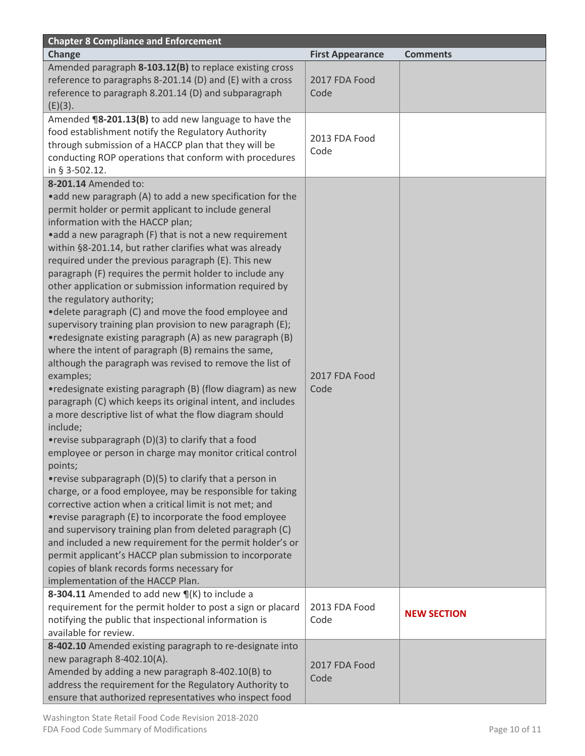| <b>Chapter 8 Compliance and Enforcement</b>                                                                                                                                                                                                                                                                                                                                                                                                                                                                                                                                                                                                                                                                                                                                                                                                                                                                                                                                                                                                                                                                                                                                                                                                                                                                                                                                                                                                                                                                                                                                                                                                                                              |                         |                    |  |  |
|------------------------------------------------------------------------------------------------------------------------------------------------------------------------------------------------------------------------------------------------------------------------------------------------------------------------------------------------------------------------------------------------------------------------------------------------------------------------------------------------------------------------------------------------------------------------------------------------------------------------------------------------------------------------------------------------------------------------------------------------------------------------------------------------------------------------------------------------------------------------------------------------------------------------------------------------------------------------------------------------------------------------------------------------------------------------------------------------------------------------------------------------------------------------------------------------------------------------------------------------------------------------------------------------------------------------------------------------------------------------------------------------------------------------------------------------------------------------------------------------------------------------------------------------------------------------------------------------------------------------------------------------------------------------------------------|-------------------------|--------------------|--|--|
| <b>Change</b>                                                                                                                                                                                                                                                                                                                                                                                                                                                                                                                                                                                                                                                                                                                                                                                                                                                                                                                                                                                                                                                                                                                                                                                                                                                                                                                                                                                                                                                                                                                                                                                                                                                                            | <b>First Appearance</b> | <b>Comments</b>    |  |  |
| Amended paragraph 8-103.12(B) to replace existing cross<br>reference to paragraphs 8-201.14 (D) and (E) with a cross<br>reference to paragraph 8.201.14 (D) and subparagraph<br>$(E)(3)$ .                                                                                                                                                                                                                                                                                                                                                                                                                                                                                                                                                                                                                                                                                                                                                                                                                                                                                                                                                                                                                                                                                                                                                                                                                                                                                                                                                                                                                                                                                               | 2017 FDA Food<br>Code   |                    |  |  |
| Amended ¶8-201.13(B) to add new language to have the<br>food establishment notify the Regulatory Authority<br>through submission of a HACCP plan that they will be<br>conducting ROP operations that conform with procedures<br>in § 3-502.12.                                                                                                                                                                                                                                                                                                                                                                                                                                                                                                                                                                                                                                                                                                                                                                                                                                                                                                                                                                                                                                                                                                                                                                                                                                                                                                                                                                                                                                           | 2013 FDA Food<br>Code   |                    |  |  |
| 8-201.14 Amended to:<br>• add new paragraph (A) to add a new specification for the<br>permit holder or permit applicant to include general<br>information with the HACCP plan;<br>• add a new paragraph (F) that is not a new requirement<br>within §8-201.14, but rather clarifies what was already<br>required under the previous paragraph (E). This new<br>paragraph (F) requires the permit holder to include any<br>other application or submission information required by<br>the regulatory authority;<br>• delete paragraph (C) and move the food employee and<br>supervisory training plan provision to new paragraph (E);<br>•redesignate existing paragraph (A) as new paragraph (B)<br>where the intent of paragraph (B) remains the same,<br>although the paragraph was revised to remove the list of<br>examples;<br>•redesignate existing paragraph (B) (flow diagram) as new<br>paragraph (C) which keeps its original intent, and includes<br>a more descriptive list of what the flow diagram should<br>include;<br>•revise subparagraph (D)(3) to clarify that a food<br>employee or person in charge may monitor critical control<br>points;<br>• revise subparagraph (D)(5) to clarify that a person in<br>charge, or a food employee, may be responsible for taking<br>corrective action when a critical limit is not met; and<br>• revise paragraph (E) to incorporate the food employee<br>and supervisory training plan from deleted paragraph (C)<br>and included a new requirement for the permit holder's or<br>permit applicant's HACCP plan submission to incorporate<br>copies of blank records forms necessary for<br>implementation of the HACCP Plan. | 2017 FDA Food<br>Code   |                    |  |  |
| 8-304.11 Amended to add new ¶(K) to include a<br>requirement for the permit holder to post a sign or placard<br>notifying the public that inspectional information is<br>available for review.                                                                                                                                                                                                                                                                                                                                                                                                                                                                                                                                                                                                                                                                                                                                                                                                                                                                                                                                                                                                                                                                                                                                                                                                                                                                                                                                                                                                                                                                                           | 2013 FDA Food<br>Code   | <b>NEW SECTION</b> |  |  |
| 8-402.10 Amended existing paragraph to re-designate into<br>new paragraph 8-402.10(A).<br>Amended by adding a new paragraph 8-402.10(B) to<br>address the requirement for the Regulatory Authority to<br>ensure that authorized representatives who inspect food                                                                                                                                                                                                                                                                                                                                                                                                                                                                                                                                                                                                                                                                                                                                                                                                                                                                                                                                                                                                                                                                                                                                                                                                                                                                                                                                                                                                                         | 2017 FDA Food<br>Code   |                    |  |  |